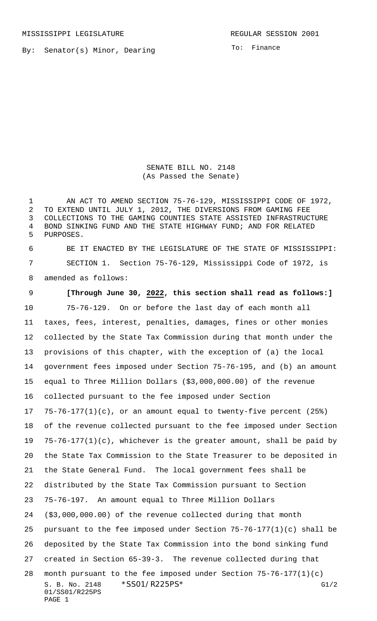MISSISSIPPI LEGISLATURE **REGULAR SESSION 2001** 

By: Senator(s) Minor, Dearing

To: Finance

SENATE BILL NO. 2148 (As Passed the Senate)

1 AN ACT TO AMEND SECTION 75-76-129, MISSISSIPPI CODE OF 1972, TO EXTEND UNTIL JULY 1, 2012, THE DIVERSIONS FROM GAMING FEE COLLECTIONS TO THE GAMING COUNTIES STATE ASSISTED INFRASTRUCTURE BOND SINKING FUND AND THE STATE HIGHWAY FUND; AND FOR RELATED PURPOSES.

 BE IT ENACTED BY THE LEGISLATURE OF THE STATE OF MISSISSIPPI: SECTION 1. Section 75-76-129, Mississippi Code of 1972, is amended as follows:

S. B. No. 2148 \* SS01/R225PS\* G1/2 01/SS01/R225PS **[Through June 30, 2022, this section shall read as follows:]** 75-76-129. On or before the last day of each month all taxes, fees, interest, penalties, damages, fines or other monies collected by the State Tax Commission during that month under the provisions of this chapter, with the exception of (a) the local government fees imposed under Section 75-76-195, and (b) an amount equal to Three Million Dollars (\$3,000,000.00) of the revenue collected pursuant to the fee imposed under Section 75-76-177(1)(c), or an amount equal to twenty-five percent (25%) of the revenue collected pursuant to the fee imposed under Section 75-76-177(1)(c), whichever is the greater amount, shall be paid by the State Tax Commission to the State Treasurer to be deposited in the State General Fund. The local government fees shall be distributed by the State Tax Commission pursuant to Section 75-76-197. An amount equal to Three Million Dollars (\$3,000,000.00) of the revenue collected during that month 25 pursuant to the fee imposed under Section  $75-76-177(1)(c)$  shall be deposited by the State Tax Commission into the bond sinking fund created in Section 65-39-3. The revenue collected during that month pursuant to the fee imposed under Section 75-76-177(1)(c)

```
PAGE 1
```